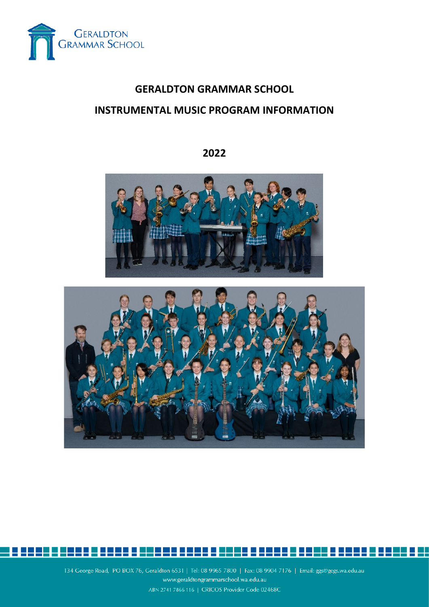

# **GERALDTON GRAMMAR SCHOOL INSTRUMENTAL MUSIC PROGRAM INFORMATION**

## **2022**





134 George Road, PO BOX 76, Geraldton 6531 | Tel: 08 9965 7800 | Fax: 08 9904 7176 | Email: ggs@gegs.wa.edu.au www.geraldtongrammarschool.wa.edu.au ABN 2741 7866 116 | CRICOS Provider Code 02468C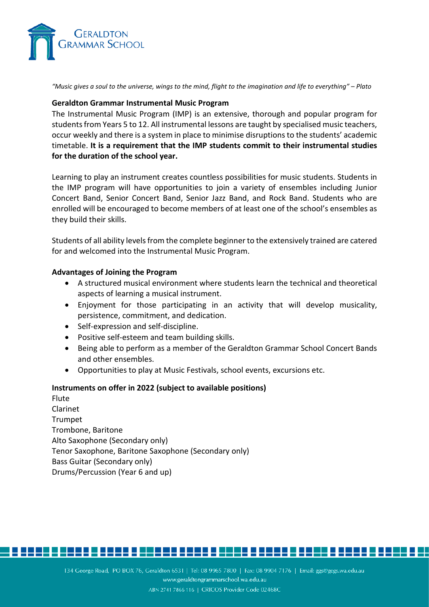

*"Music gives a soul to the universe, wings to the mind, flight to the imagination and life to everything" – Plato*

#### **Geraldton Grammar Instrumental Music Program**

The Instrumental Music Program (IMP) is an extensive, thorough and popular program for students from Years 5 to 12. All instrumental lessons are taught by specialised music teachers, occur weekly and there is a system in place to minimise disruptions to the students' academic timetable. **It is a requirement that the IMP students commit to their instrumental studies for the duration of the school year.**

Learning to play an instrument creates countless possibilities for music students. Students in the IMP program will have opportunities to join a variety of ensembles including Junior Concert Band, Senior Concert Band, Senior Jazz Band, and Rock Band. Students who are enrolled will be encouraged to become members of at least one of the school's ensembles as they build their skills.

Students of all ability levels from the complete beginner to the extensively trained are catered for and welcomed into the Instrumental Music Program.

### **Advantages of Joining the Program**

- A structured musical environment where students learn the technical and theoretical aspects of learning a musical instrument.
- Enjoyment for those participating in an activity that will develop musicality, persistence, commitment, and dedication.
- Self-expression and self-discipline.
- Positive self-esteem and team building skills.
- Being able to perform as a member of the Geraldton Grammar School Concert Bands and other ensembles.
- Opportunities to play at Music Festivals, school events, excursions etc.

#### **Instruments on offer in 2022 (subject to available positions)**

Flute Clarinet Trumpet Trombone, Baritone Alto Saxophone (Secondary only) Tenor Saxophone, Baritone Saxophone (Secondary only) Bass Guitar (Secondary only) Drums/Percussion (Year 6 and up)



<u>: 2000 E 8000 0 50000 0000 0 5000 0 8000 5 8000 0 5000 5 8000 0</u>